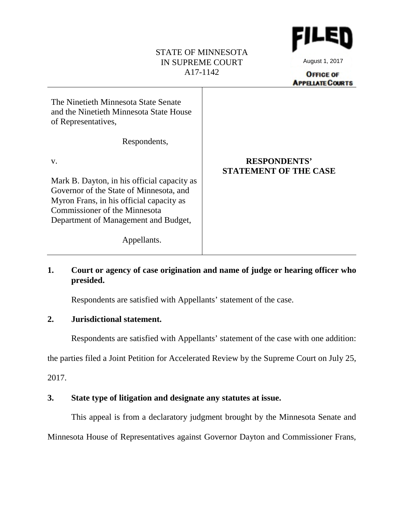## STATE OF MINNESOTA IN SUPREME COURT A17-1142



August 1, 2017

**OFFICE OF APPELIATE COURTS** 

| The Ninetieth Minnesota State Senate<br>and the Ninetieth Minnesota State House<br>of Representatives, |                                                     |
|--------------------------------------------------------------------------------------------------------|-----------------------------------------------------|
| Respondents,                                                                                           |                                                     |
| V.                                                                                                     | <b>RESPONDENTS'</b><br><b>STATEMENT OF THE CASE</b> |
| Mark B. Dayton, in his official capacity as<br>Governor of the State of Minnesota, and                 |                                                     |
| Myron Frans, in his official capacity as<br>Commissioner of the Minnesota                              |                                                     |
| Department of Management and Budget,                                                                   |                                                     |
| Appellants.                                                                                            |                                                     |

# **1. Court or agency of case origination and name of judge or hearing officer who presided.**

Respondents are satisfied with Appellants' statement of the case.

# **2. Jurisdictional statement.**

Respondents are satisfied with Appellants' statement of the case with one addition:

the parties filed a Joint Petition for Accelerated Review by the Supreme Court on July 25,

2017.

# **3. State type of litigation and designate any statutes at issue.**

This appeal is from a declaratory judgment brought by the Minnesota Senate and

Minnesota House of Representatives against Governor Dayton and Commissioner Frans,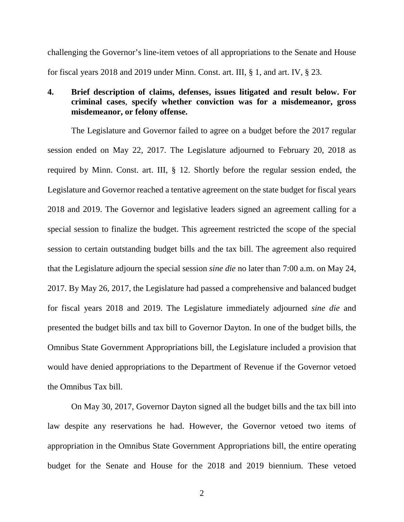challenging the Governor's line-item vetoes of all appropriations to the Senate and House for fiscal years 2018 and 2019 under Minn. Const. art. III, § 1, and art. IV, § 23.

# **4. Brief description of claims, defenses, issues litigated and result below. For criminal cases**, **specify whether conviction was for a misdemeanor, gross misdemeanor, or felony offense.**

The Legislature and Governor failed to agree on a budget before the 2017 regular session ended on May 22, 2017. The Legislature adjourned to February 20, 2018 as required by Minn. Const. art. III, § 12. Shortly before the regular session ended, the Legislature and Governor reached a tentative agreement on the state budget for fiscal years 2018 and 2019. The Governor and legislative leaders signed an agreement calling for a special session to finalize the budget. This agreement restricted the scope of the special session to certain outstanding budget bills and the tax bill. The agreement also required that the Legislature adjourn the special session *sine die* no later than 7:00 a.m. on May 24, 2017. By May 26, 2017, the Legislature had passed a comprehensive and balanced budget for fiscal years 2018 and 2019. The Legislature immediately adjourned *sine die* and presented the budget bills and tax bill to Governor Dayton. In one of the budget bills, the Omnibus State Government Appropriations bill, the Legislature included a provision that would have denied appropriations to the Department of Revenue if the Governor vetoed the Omnibus Tax bill.

On May 30, 2017, Governor Dayton signed all the budget bills and the tax bill into law despite any reservations he had. However, the Governor vetoed two items of appropriation in the Omnibus State Government Appropriations bill, the entire operating budget for the Senate and House for the 2018 and 2019 biennium. These vetoed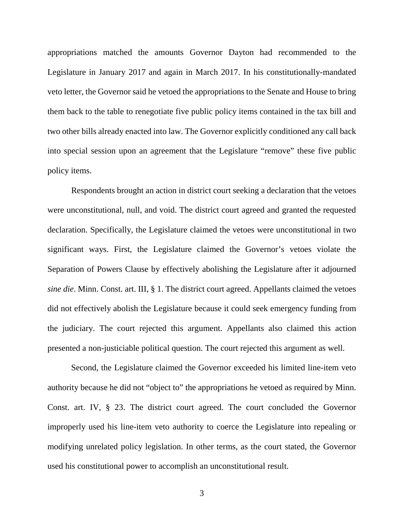appropriations matched the amounts Governor Dayton had recommended to the Legislature in January 2017 and again in March 2017. In his constitutionally-mandated veto letter, the Governor said he vetoed the appropriations to the Senate and House to bring them back to the table to renegotiate five public policy items contained in the tax bill and two other bills already enacted into law. The Governor explicitly conditioned any call back into special session upon an agreement that the Legislature "remove" these five public policy items.

Respondents brought an action in district court seeking a declaration that the vetoes were unconstitutional, null, and void. The district court agreed and granted the requested declaration. Specifically, the Legislature claimed the vetoes were unconstitutional in two significant ways. First, the Legislature claimed the Governor's vetoes violate the Separation of Powers Clause by effectively abolishing the Legislature after it adjourned *sine die*. Minn. Const. art. III, § 1. The district court agreed. Appellants claimed the vetoes did not effectively abolish the Legislature because it could seek emergency funding from the judiciary. The court rejected this argument. Appellants also claimed this action presented a non-justiciable political question. The court rejected this argument as well.

Second, the Legislature claimed the Governor exceeded his limited line-item veto authority because he did not "object to" the appropriations he vetoed as required by Minn. Const. art. IV, § 23. The district court agreed. The court concluded the Governor improperly used his line-item veto authority to coerce the Legislature into repealing or modifying unrelated policy legislation. In other terms, as the court stated, the Governor used his constitutional power to accomplish an unconstitutional result.

3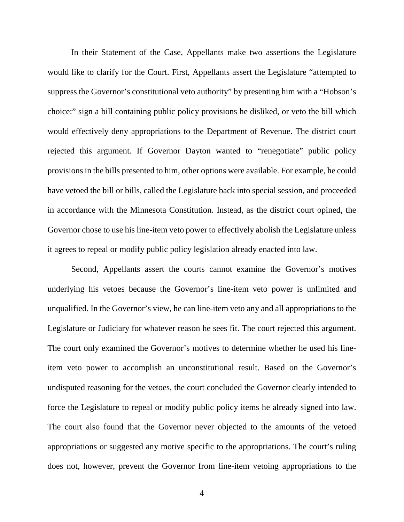In their Statement of the Case, Appellants make two assertions the Legislature would like to clarify for the Court. First, Appellants assert the Legislature "attempted to suppress the Governor's constitutional veto authority" by presenting him with a "Hobson's choice:" sign a bill containing public policy provisions he disliked, or veto the bill which would effectively deny appropriations to the Department of Revenue. The district court rejected this argument. If Governor Dayton wanted to "renegotiate" public policy provisions in the bills presented to him, other options were available. For example, he could have vetoed the bill or bills, called the Legislature back into special session, and proceeded in accordance with the Minnesota Constitution. Instead, as the district court opined, the Governor chose to use his line-item veto power to effectively abolish the Legislature unless it agrees to repeal or modify public policy legislation already enacted into law.

Second, Appellants assert the courts cannot examine the Governor's motives underlying his vetoes because the Governor's line-item veto power is unlimited and unqualified. In the Governor's view, he can line-item veto any and all appropriations to the Legislature or Judiciary for whatever reason he sees fit. The court rejected this argument. The court only examined the Governor's motives to determine whether he used his lineitem veto power to accomplish an unconstitutional result. Based on the Governor's undisputed reasoning for the vetoes, the court concluded the Governor clearly intended to force the Legislature to repeal or modify public policy items he already signed into law. The court also found that the Governor never objected to the amounts of the vetoed appropriations or suggested any motive specific to the appropriations. The court's ruling does not, however, prevent the Governor from line-item vetoing appropriations to the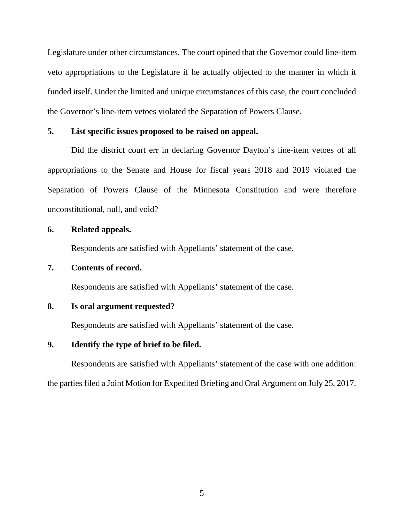Legislature under other circumstances. The court opined that the Governor could line-item veto appropriations to the Legislature if he actually objected to the manner in which it funded itself. Under the limited and unique circumstances of this case, the court concluded the Governor's line-item vetoes violated the Separation of Powers Clause.

### **5. List specific issues proposed to be raised on appeal.**

Did the district court err in declaring Governor Dayton's line-item vetoes of all appropriations to the Senate and House for fiscal years 2018 and 2019 violated the Separation of Powers Clause of the Minnesota Constitution and were therefore unconstitutional, null, and void?

# **6. Related appeals.**

Respondents are satisfied with Appellants' statement of the case.

#### **7. Contents of record.**

Respondents are satisfied with Appellants' statement of the case.

#### **8. Is oral argument requested?**

Respondents are satisfied with Appellants' statement of the case.

### **9. Identify the type of brief to be filed.**

Respondents are satisfied with Appellants' statement of the case with one addition: the parties filed a Joint Motion for Expedited Briefing and Oral Argument on July 25, 2017.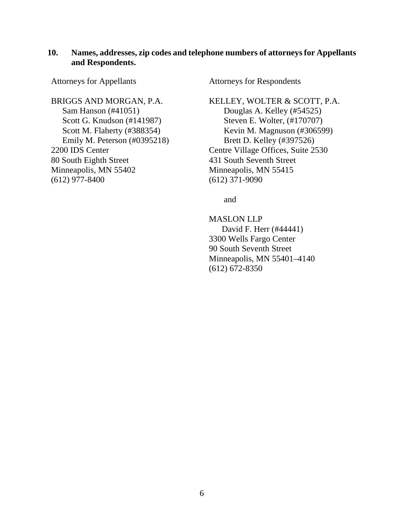## **10. Names, addresses, zip codes and telephone numbers of attorneys for Appellants and Respondents.**

Attorneys for Appellants

BRIGGS AND MORGAN, P.A. Sam Hanson (#41051) Scott G. Knudson (#141987) Scott M. Flaherty (#388354) Emily M. Peterson (#0395218) 2200 IDS Center 80 South Eighth Street Minneapolis, MN 55402 (612) 977-8400

Attorneys for Respondents

KELLEY, WOLTER & SCOTT, P.A. Douglas A. Kelley (#54525) Steven E. Wolter, (#170707) Kevin M. Magnuson (#306599) Brett D. Kelley (#397526) Centre Village Offices, Suite 2530 431 South Seventh Street Minneapolis, MN 55415 (612) 371-9090

and

MASLON LLP David F. Herr (#44441) 3300 Wells Fargo Center 90 South Seventh Street Minneapolis, MN 55401–4140 (612) 672-8350